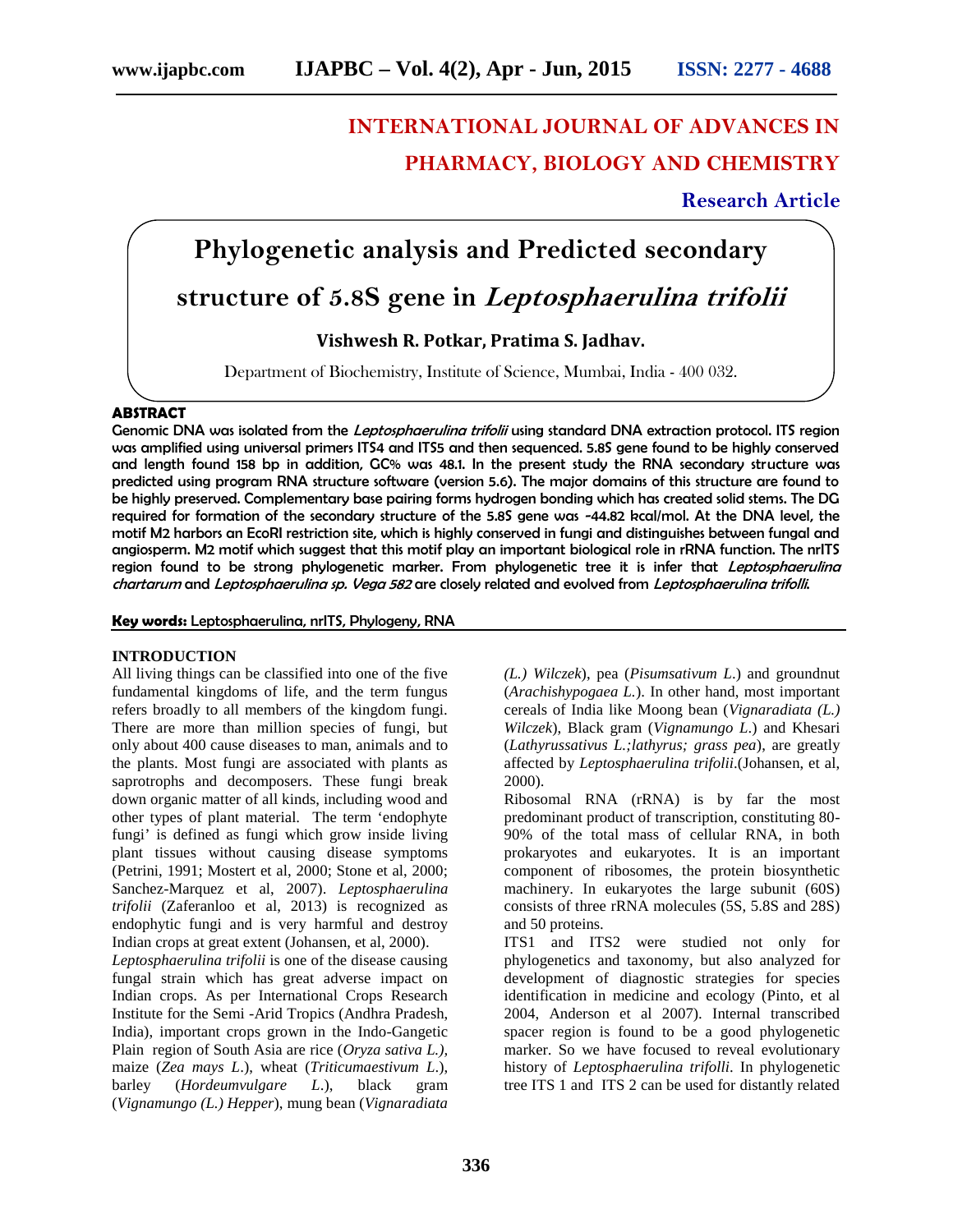## **INTERNATIONAL JOURNAL OF ADVANCES IN PHARMACY, BIOLOGY AND CHEMISTRY**

### **Research Article**

# **Phylogenetic analysis and Predicted secondary**

**structure of 5.8S gene in** *Leptosphaerulina trifolii*

**Vishwesh R. Potkar, Pratima S. Jadhav.**

Department of Biochemistry, Institute of Science, Mumbai, India - 400 032.

#### **ABSTRACT**

Genomic DNA was isolated from the *Leptosphaerulina trifolii* using standard DNA extraction protocol. ITS region was amplified using universal primers ITS4 and ITS5 and then sequenced. 5.8S gene found to be highly conserved and length found 158 bp in addition, GC% was 48.1. In the present study the RNA secondary structure was predicted using program RNA structure software (version 5.6). The major domains of this structure are found to be highly preserved. Complementary base pairing forms hydrogen bonding which has created solid stems. The DG required for formation of the secondary structure of the 5.8S gene was -44.82 kcal/mol. At the DNA level, the motif M2 harbors an EcoRI restriction site, which is highly conserved in fungi and distinguishes between fungal and angiosperm. M2 motif which suggest that this motif play an important biological role in rRNA function. The nrITS region found to be strong phylogenetic marker. From phylogenetic tree it is infer that *Leptosphaerulina chartarum* and *Leptosphaerulina sp. Vega 582* are closely related and evolved from *Leptosphaerulina trifolli*.

#### **Key words:** Leptosphaerulina, nrITS, Phylogeny, RNA

#### **INTRODUCTION**

All living things can be classified into one of the five fundamental kingdoms of life, and the term fungus refers broadly to all members of the kingdom fungi. There are more than million species of fungi, but only about 400 cause diseases to man, animals and to the plants. Most fungi are associated with plants as saprotrophs and decomposers. These fungi break down organic matter of all kinds, including wood and other types of plant material. The term 'endophyte fungi' is defined as fungi which grow inside living plant tissues without causing disease symptoms (Petrini, 1991; Mostert et al, 2000; Stone et al, 2000; Sanchez-Marquez et al, 2007). *Leptosphaerulina trifolii* (Zaferanloo et al, 2013) is recognized as endophytic fungi and is very harmful and destroy Indian crops at great extent (Johansen, et al, 2000).

*Leptosphaerulina trifolii* is one of the disease causing fungal strain which has great adverse impact on Indian crops. As per International Crops Research Institute for the Semi -Arid Tropics (Andhra Pradesh, India), important crops grown in the Indo-Gangetic Plain region of South Asia are rice (*Oryza sativa L.),* maize (*Zea mays L*.), wheat (*Triticumaestivum L*.), barley (*Hordeumvulgare L*.), black gram (*Vignamungo (L.) Hepper*), mung bean (*Vignaradiata* *(L.) Wilczek*), pea (*Pisumsativum L*.) and groundnut (*Arachishypogaea L.*). In other hand, most important cereals of India like Moong bean (*Vignaradiata (L.) Wilczek*), Black gram (*Vignamungo L*.) and Khesari (*Lathyrussativus L.;lathyrus; grass pea*), are greatly affected by *Leptosphaerulina trifolii*.(Johansen, et al, 2000).

Ribosomal RNA (rRNA) is by far the most predominant product of transcription, constituting 80- 90% of the total mass of cellular RNA, in both prokaryotes and eukaryotes. It is an important component of ribosomes, the protein biosynthetic machinery. In eukaryotes the large subunit (60S) consists of three rRNA molecules (5S, 5.8S and 28S) and 50 proteins.

ITS1 and ITS2 were studied not only for phylogenetics and taxonomy, but also analyzed for development of diagnostic strategies for species identification in medicine and ecology (Pinto, et al 2004, Anderson et al 2007). Internal transcribed spacer region is found to be a good phylogenetic marker. So we have focused to reveal evolutionary history of *Leptosphaerulina trifolli*. In phylogenetic tree ITS 1 and ITS 2 can be used for distantly related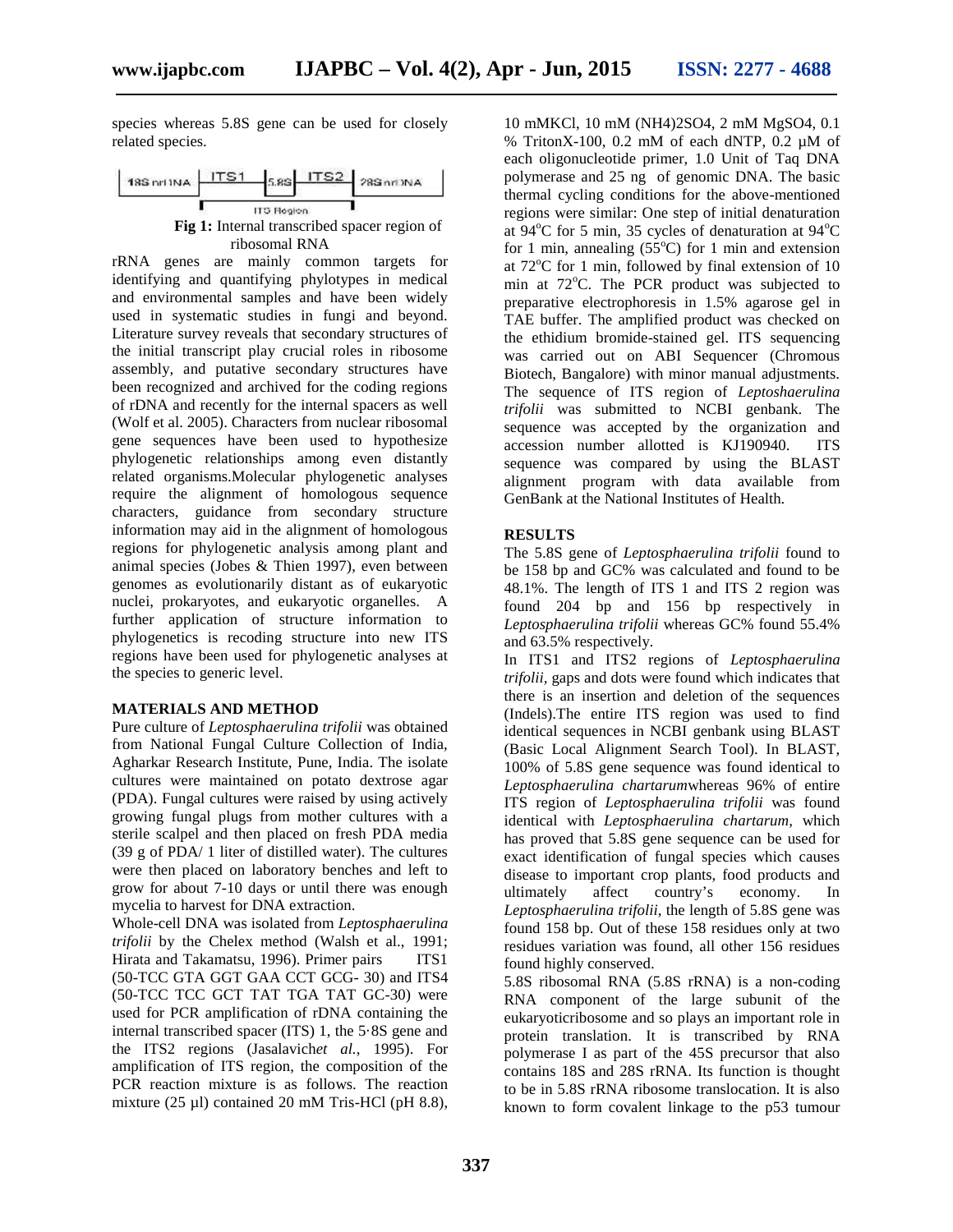species whereas 5.8S gene can be used for closely related species.



rRNA genes are mainly common targets for identifying and quantifying phylotypes in medical and environmental samples and have been widely used in systematic studies in fungi and beyond. Literature survey reveals that secondary structures of the initial transcript play crucial roles in ribosome assembly, and putative secondary structures have been recognized and archived for the coding regions of rDNA and recently for the internal spacers as well (Wolf et al. 2005). Characters from nuclear ribosomal gene sequences have been used to hypothesize phylogenetic relationships among even distantly related organisms.Molecular phylogenetic analyses require the alignment of homologous sequence characters, guidance from secondary structure information may aid in the alignment of homologous regions for phylogenetic analysis among plant and animal species (Jobes & Thien 1997), even between genomes as evolutionarily distant as of eukaryotic nuclei, prokaryotes, and eukaryotic organelles. A further application of structure information to phylogenetics is recoding structure into new ITS regions have been used for phylogenetic analyses at the species to generic level.

#### **MATERIALS AND METHOD**

Pure culture of *Leptosphaerulina trifolii* was obtained from National Fungal Culture Collection of India, Agharkar Research Institute, Pune, India. The isolate cultures were maintained on potato dextrose agar (PDA). Fungal cultures were raised by using actively growing fungal plugs from mother cultures with a sterile scalpel and then placed on fresh PDA media (39 g of PDA/ 1 liter of distilled water). The cultures were then placed on laboratory benches and left to grow for about 7-10 days or until there was enough mycelia to harvest for DNA extraction.

Whole-cell DNA was isolated from *Leptosphaerulina trifolii* by the Chelex method (Walsh et al., 1991; Hirata and Takamatsu, 1996). Primer pairs ITS1 (50-TCC GTA GGT GAA CCT GCG- 30) and ITS4 (50-TCC TCC GCT TAT TGA TAT GC-30) were used for PCR amplification of rDNA containing the internal transcribed spacer (ITS) 1, the 5·8S gene and the ITS2 regions (Jasalavich*et al.*, 1995). For amplification of ITS region, the composition of the PCR reaction mixture is as follows. The reaction mixture (25 µl) contained 20 mM Tris-HCl (pH 8.8),

10 mMKCl, 10 mM (NH4)2SO4, 2 mM MgSO4, 0.1 % TritonX-100, 0.2 mM of each dNTP, 0.2 µM of each oligonucleotide primer, 1.0 Unit of Taq DNA polymerase and 25 ng of genomic DNA. The basic thermal cycling conditions for the above-mentioned regions were similar: One step of initial denaturation at  $94^{\circ}$ C for 5 min, 35 cycles of denaturation at  $94^{\circ}$ C for 1 min, annealing  $(55^{\circ}C)$  for 1 min and extension at  $72^{\circ}$ C for 1 min, followed by final extension of 10 min at  $72^{\circ}$ C. The PCR product was subjected to preparative electrophoresis in 1.5% agarose gel in TAE buffer. The amplified product was checked on the ethidium bromide-stained gel. ITS sequencing was carried out on ABI Sequencer (Chromous Biotech, Bangalore) with minor manual adjustments. The sequence of ITS region of *Leptoshaerulina trifolii* was submitted to NCBI genbank. The sequence was accepted by the organization and accession number allotted is KJ190940. ITS sequence was compared by using the BLAST alignment program with data available from GenBank at the National Institutes of Health.

#### **RESULTS**

The 5.8S gene of *Leptosphaerulina trifolii* found to be 158 bp and GC% was calculated and found to be 48.1%. The length of ITS 1 and ITS 2 region was found 204 bp and 156 bp respectively in *Leptosphaerulina trifolii* whereas GC% found 55.4% and 63.5% respectively.

In ITS1 and ITS2 regions of *Leptosphaerulina trifolii,* gaps and dots were found which indicates that there is an insertion and deletion of the sequences (Indels).The entire ITS region was used to find identical sequences in NCBI genbank using BLAST (Basic Local Alignment Search Tool). In BLAST, 100% of 5.8S gene sequence was found identical to *Leptosphaerulina chartarum*whereas 96% of entire ITS region of *Leptosphaerulina trifolii* was found identical with *Leptosphaerulina chartarum,* which has proved that 5.8S gene sequence can be used for exact identification of fungal species which causes disease to important crop plants, food products and<br>ultimately affect country's economy. In  $country's$  economy. In *Leptosphaerulina trifolii*, the length of 5.8S gene was found 158 bp. Out of these 158 residues only at two residues variation was found, all other 156 residues found highly conserved.

5.8S ribosomal RNA (5.8S rRNA) is a non-coding RNA component of the large subunit of the eukaryoticribosome and so plays an important role in protein translation. It is transcribed by RNA polymerase I as part of the 45S precursor that also contains 18S and 28S rRNA. Its function is thought to be in 5.8S rRNA ribosome translocation. It is also known to form covalent linkage to the p53 tumour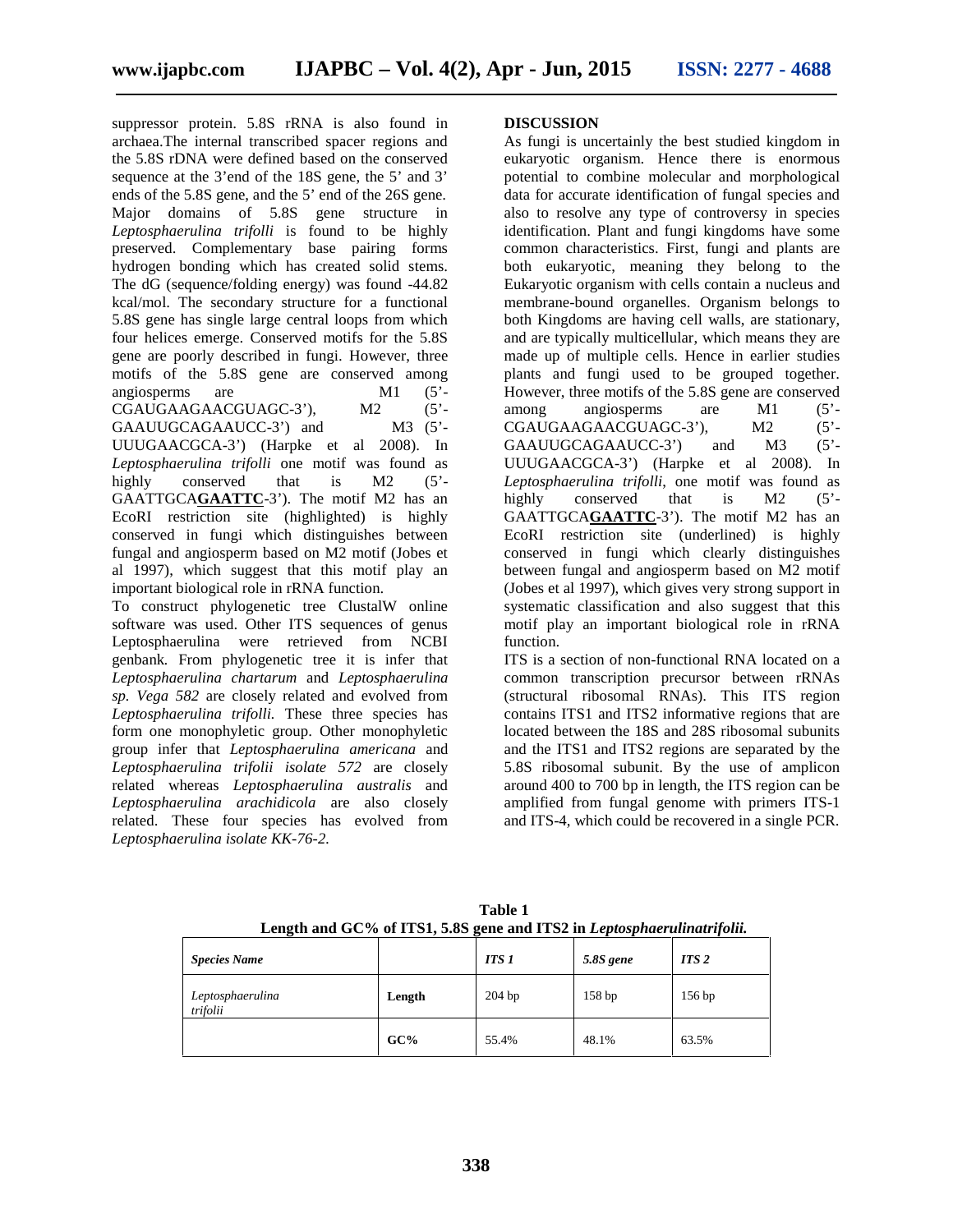suppressor protein. 5.8S rRNA is also found in archaea.The internal transcribed spacer regions and the 5.8S rDNA were defined based on the conserved sequence at the 3'end of the 18S gene, the 5' and 3' ends of the 5.8S gene, and the 5' end of the 26S gene. Major domains of 5.8S gene structure in *Leptosphaerulina trifolli* is found to be highly preserved. Complementary base pairing forms hydrogen bonding which has created solid stems. The dG (sequence/folding energy) was found -44.82 kcal/mol. The secondary structure for a functional 5.8S gene has single large central loops from which four helices emerge. Conserved motifs for the 5.8S gene are poorly described in fungi. However, three motifs of the 5.8S gene are conserved among angiosperms are M1 (5'-CGAUGAAGAACGUAGC-3'), M2 (5'-CGAUGAAGAACGUAGC-3'), GAAUUGCAGAAUCC-3') and M3 (5'-UUUGAACGCA-3') (Harpke et al 2008). In *Leptosphaerulina trifolli* one motif was found as highly conserved that is M2 (5<sup>'</sup>-GAATTGCA**GAATTC**-3'). The motif M2 has an EcoRI restriction site (highlighted) is highly conserved in fungi which distinguishes between fungal and angiosperm based on M2 motif (Jobes et al 1997), which suggest that this motif play an important biological role in rRNA function.

To construct phylogenetic tree ClustalW online software was used. Other ITS sequences of genus Leptosphaerulina were retrieved from NCBI genbank*.* From phylogenetic tree it is infer that *Leptosphaerulina chartarum* and *Leptosphaerulina sp. Vega 582* are closely related and evolved from *Leptosphaerulina trifolli.* These three species has form one monophyletic group. Other monophyletic group infer that *Leptosphaerulina americana* and *Leptosphaerulina trifolii isolate 572* are closely related whereas *Leptosphaerulina australis* and *Leptosphaerulina arachidicola* are also closely related. These four species has evolved from *Leptosphaerulina isolate KK-76-2.*

#### **DISCUSSION**

As fungi is uncertainly the best studied kingdom in eukaryotic organism. Hence there is enormous potential to combine molecular and morphological data for accurate identification of fungal species and also to resolve any type of controversy in species identification. Plant and fungi kingdoms have some common characteristics. First, fungi and plants are both eukaryotic, meaning they belong to the Eukaryotic organism with cells contain a nucleus and membrane-bound organelles. Organism belongs to both Kingdoms are having cell walls, are stationary, and are typically multicellular, which means they are made up of multiple cells. Hence in earlier studies plants and fungi used to be grouped together. However, three motifs of the 5.8S gene are conserved<br>among angiosperms are M1 (5'among angiosperms are M1 (5'-<br>CGAUGAAGAACGUAGC-3'), M2 (5'-CGAUGAAGAACGUAGC-3'), M2 GAAUUGCAGAAUCC-3') and M3 (5'-UUUGAACGCA-3') (Harpke et al 2008). In *Leptosphaerulina trifolli*, one motif was found as conserved that is  $M2$  (5<sup>'-</sup> GAATTGCA**GAATTC**-3'). The motif M2 has an EcoRI restriction site (underlined) is highly conserved in fungi which clearly distinguishes between fungal and angiosperm based on M2 motif (Jobes et al 1997), which gives very strong support in systematic classification and also suggest that this motif play an important biological role in rRNA function.

ITS is a section of non-functional RNA located on a common transcription precursor between rRNAs (structural ribosomal RNAs). This ITS region contains ITS1 and ITS2 informative regions that are located between the 18S and 28S ribosomal subunits and the ITS1 and ITS2 regions are separated by the 5.8S ribosomal subunit. By the use of amplicon around 400 to 700 bp in length, the ITS region can be amplified from fungal genome with primers ITS-1 and ITS-4, which could be recovered in a single PCR.

| <b>Species Name</b>          |        | <b>ITS 1</b> | 5.8S gene | ITS 2 |
|------------------------------|--------|--------------|-----------|-------|
| Leptosphaerulina<br>trifolii | Length | 204 bp       | 158 bp    | 156bp |
|                              | GC%    | 55.4%        | 48.1%     | 63.5% |

**Table 1 Length and GC% of ITS1, 5.8S gene and ITS2 in** *Leptosphaerulinatrifolii.*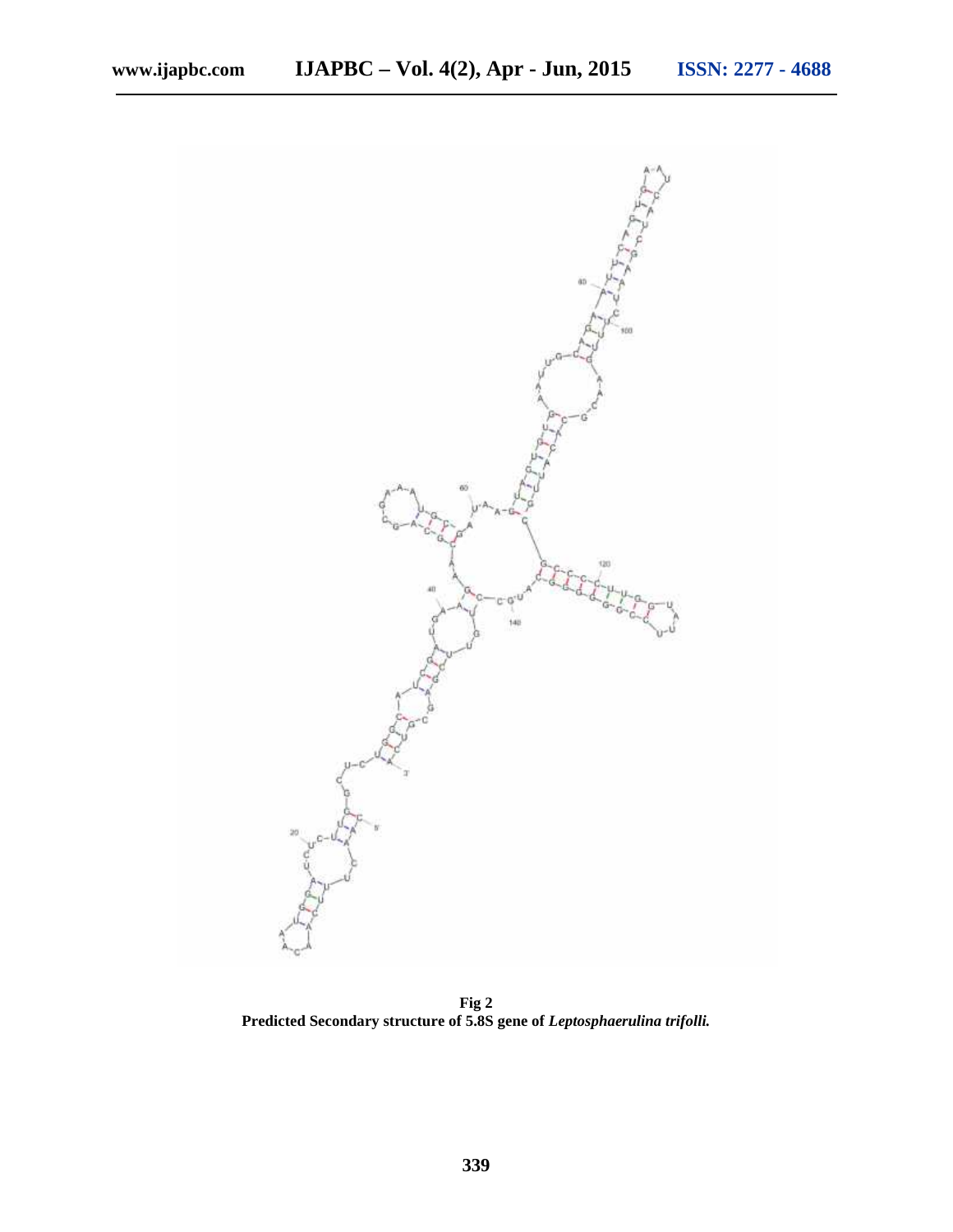

**Fig 2 Predicted Secondary structure of 5.8S gene of** *Leptosphaerulina trifolli.*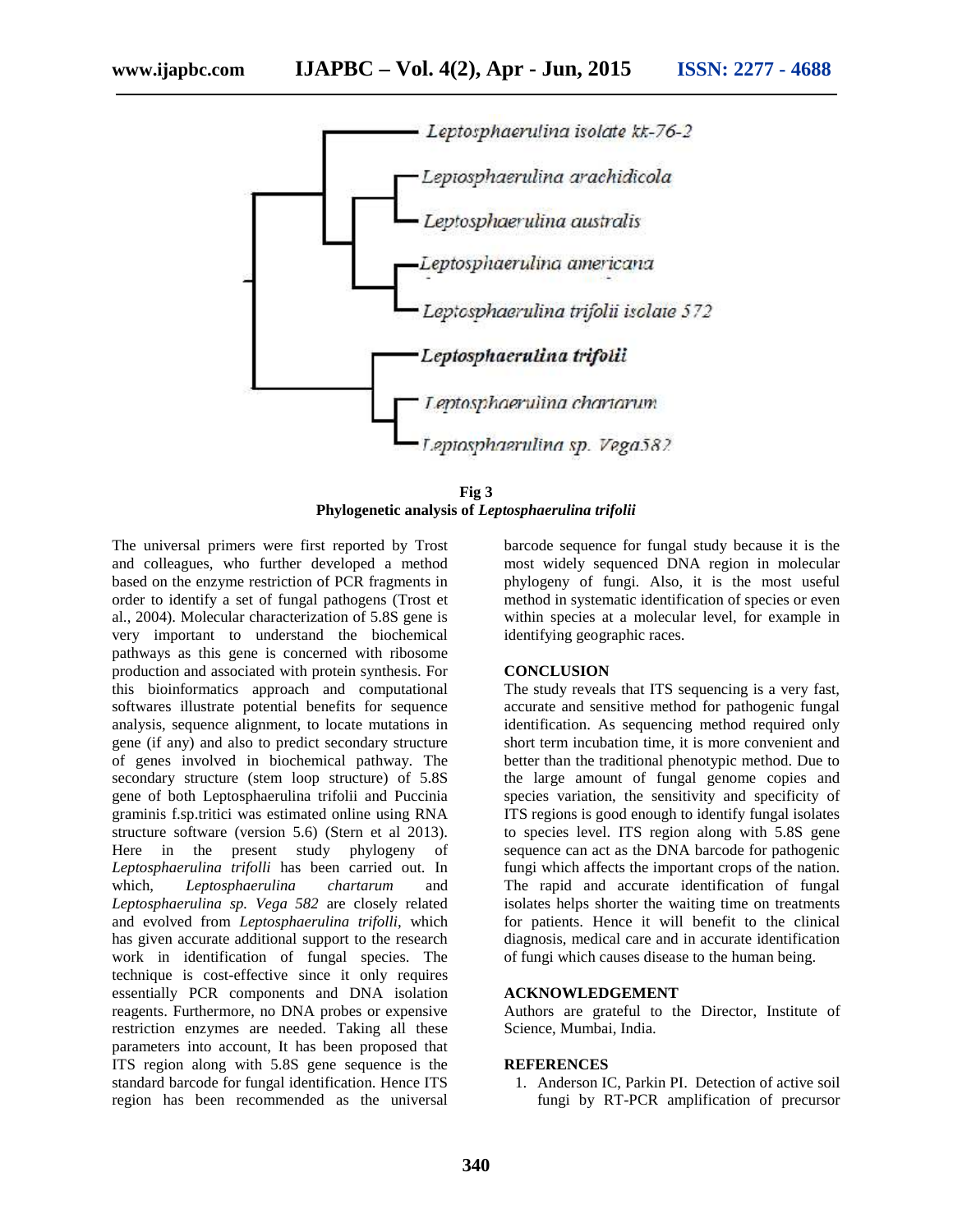

**Fig 3 Phylogenetic analysis of** *Leptosphaerulina trifolii*

The universal primers were first reported by Trost and colleagues, who further developed a method based on the enzyme restriction of PCR fragments in order to identify a set of fungal pathogens (Trost et al., 2004). Molecular characterization of 5.8S gene is very important to understand the biochemical pathways as this gene is concerned with ribosome production and associated with protein synthesis. For this bioinformatics approach and computational softwares illustrate potential benefits for sequence analysis, sequence alignment, to locate mutations in gene (if any) and also to predict secondary structure of genes involved in biochemical pathway. The secondary structure (stem loop structure) of 5.8S gene of both Leptosphaerulina trifolii and Puccinia graminis f.sp.tritici was estimated online using RNA structure software (version 5.6) (Stern et al 2013). Here in the present study phylogeny of *Leptosphaerulina trifolli* has been carried out. In which, *Leptosphaerulina chartarum* and *Leptosphaerulina sp. Vega 582* are closely related and evolved from *Leptosphaerulina trifolli*, which has given accurate additional support to the research work in identification of fungal species. The technique is cost-effective since it only requires essentially PCR components and DNA isolation reagents. Furthermore, no DNA probes or expensive restriction enzymes are needed. Taking all these parameters into account, It has been proposed that ITS region along with 5.8S gene sequence is the standard barcode for fungal identification. Hence ITS region has been recommended as the universal

barcode sequence for fungal study because it is the most widely sequenced DNA region in molecular phylogeny of fungi. Also, it is the most useful method in systematic identification of species or even within species at a molecular level, for example in identifying geographic races.

#### **CONCLUSION**

The study reveals that ITS sequencing is a very fast, accurate and sensitive method for pathogenic fungal identification. As sequencing method required only short term incubation time, it is more convenient and better than the traditional phenotypic method. Due to the large amount of fungal genome copies and species variation, the sensitivity and specificity of ITS regions is good enough to identify fungal isolates to species level. ITS region along with 5.8S gene sequence can act as the DNA barcode for pathogenic fungi which affects the important crops of the nation. The rapid and accurate identification of fungal isolates helps shorter the waiting time on treatments for patients. Hence it will benefit to the clinical diagnosis, medical care and in accurate identification of fungi which causes disease to the human being.

#### **ACKNOWLEDGEMENT**

Authors are grateful to the Director, Institute of Science, Mumbai, India.

#### **REFERENCES**

1. Anderson IC, Parkin PI. Detection of active soil fungi by RT-PCR amplification of precursor